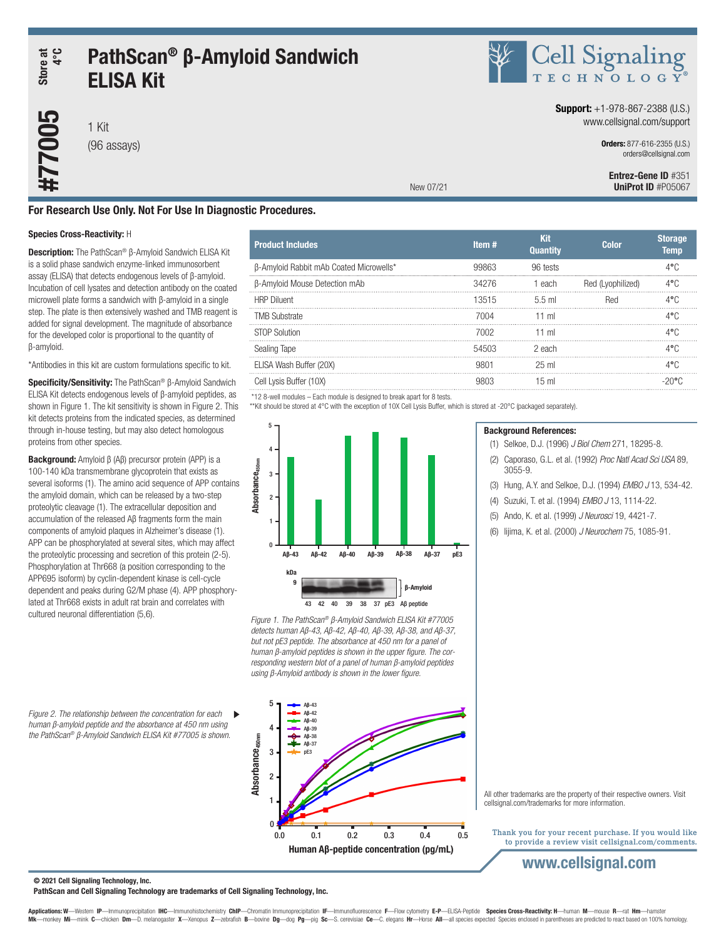# Store at<br>4°C PathScan® β-Amyloid Sandwich **#770005** Store at ELISA Kit

1 Kit (96 assays)



### **Support:**  $+1-978-867-2388$  (U.S.) www.cellsignal.com/support

Orders: 877-616-2355 (U.S.) orders@cellsignal.com

Entrez-Gene ID #351 UniProt ID #P05067

# For Research Use Only. Not For Use In Diagnostic Procedures.

#### Species Cross-Reactivity: H

Description: The PathScan® β-Amyloid Sandwich ELISA Kit is a solid phase sandwich enzyme-linked immunosorbent assay (ELISA) that detects endogenous levels of β-amyloid. Incubation of cell lysates and detection antibody on the coated microwell plate forms a sandwich with β-amyloid in a single step. The plate is then extensively washed and TMB reagent is added for signal development. The magnitude of absorbance for the developed color is proportional to the quantity of β-amyloid.

\*Antibodies in this kit are custom formulations specific to kit.

Specificity/Sensitivity: The PathScan<sup>®</sup> β-Amyloid Sandwich ELISA Kit detects endogenous levels of β-amyloid peptides, as shown in Figure 1. The kit sensitivity is shown in Figure 2. This kit detects proteins from the indicated species, as determined through in-house testing, but may also detect homologous proteins from other species.

Background: Amyloid β (Aβ) precursor protein (APP) is a 100-140 kDa transmembrane glycoprotein that exists as several isoforms (1). The amino acid sequence of APP contains the amyloid domain, which can be released by a two-step proteolytic cleavage (1). The extracellular deposition and accumulation of the released Aβ fragments form the main components of amyloid plaques in Alzheimer's disease (1). APP can be phosphorylated at several sites, which may affect the proteolytic processing and secretion of this protein (2-5). Phosphorylation at Thr668 (a position corresponding to the APP695 isoform) by cyclin-dependent kinase is cell-cycle dependent and peaks during G2/M phase (4). APP phosphorylated at Thr668 exists in adult rat brain and correlates with cultured neuronal differentiation (5,6).

*Figure 2. The relationship between the concentration for each*   $\blacktriangleright$ *human β-amyloid peptide and the absorbance at 450 nm using the PathScan® β-Amyloid Sandwich ELISA Kit #77005 is shown.*

| <b>Product Includes</b>                 | Item# | Kit<br><b>Quantity</b> | Color             | <b>Storage</b><br><b>Temp</b> |
|-----------------------------------------|-------|------------------------|-------------------|-------------------------------|
| β-Amyloid Rabbit mAb Coated Microwells* | 99863 | 96 tests               |                   |                               |
| β-Amyloid Mouse Detection mAb           | 34276 | 1 each                 | Red (Lvophilized) | ⁄l•∪                          |
| <b>HRP Diluent</b>                      | 13515 | 5.5 ml                 | Red               | 4°C                           |
| <b>TMB Substrate</b>                    | 7004  | 11 ml                  |                   | 4°C                           |
| <b>STOP Solution</b>                    | 7002  | 11 ml                  |                   | 4°C                           |
| Sealing Tape                            | 54503 | 2 each                 |                   |                               |
| ELISA Wash Buffer (20X)                 |       | $25 \text{ ml}$        |                   | 4° ∩                          |
| Cell Lysis Buffer (10X)                 | 9803  | $15 \text{ ml}$        |                   | -2006                         |
| .                                       |       |                        |                   |                               |

Background References:

3055-9.

(1) Selkoe, D.J. (1996) *J Biol Chem* 271, 18295-8. (2) Caporaso, G.L. et al. (1992) *Proc Natl Acad Sci USA* 89,

(3) Hung, A.Y. and Selkoe, D.J. (1994) *EMBO J* 13, 534-42. (4) Suzuki, T. et al. (1994) *EMBO J* 13, 1114-22. (5) Ando, K. et al. (1999) *J Neurosci* 19, 4421-7.

\*12 8-well modules – Each module is designed to break apart for 8 tests.

\*\*Kit should be stored at 4°C with the exception of 10X Cell Lysis Buffer, which is stored at -20°C (packaged separately).

New 07/21



*Figure 1. The PathScan® β-Amyloid Sandwich ELISA Kit #77005 detects human Aβ-43, Aβ-42, Aβ-40, Aβ-39, Aβ-38, and Aβ-37, but not pE3 peptide. The absorbance at 450 nm for a panel of human β-amyloid peptides is shown in the upper figure. The corresponding western blot of a panel of human β-amyloid peptides using β-Amyloid antibody is shown in the lower figure.*



All other trademarks are the property of their respective owners. Visit cellsignal.com/trademarks for more information.

Thank you for your recent purchase. If you would like to provide a review visit cellsignal.com/comments.

# www.cellsignal.com

© 2021 Cell Signaling Technology, Inc.

PathScan and Cell Signaling Technology are trademarks of Cell Signaling Technology, Inc.

(6) Iijima, K. et al. (2000) *J Neurochem* 75, 1085-91.

Applications: W—Western IP—Immunoprecipitation IHC—Immunohistochemistry ChIP—Chromatin Immunoprecipitation IF—Immunofluorescence F—Flow cytometry E-P—ELISA-Peptide Species Cross-Reactivity: H—human M—mouse R—rat Hm—hamster monkey Mi-mink C-chicken Dm-D. melanogaster X-Xenopus Z-zebrafish B-bovine Dg-dog Pg-pig Sc-S. cerevisiae Ce-C. elegans Hr-Horse All-all species expected Species enclosed in parentheses are predicted to react based on 100%